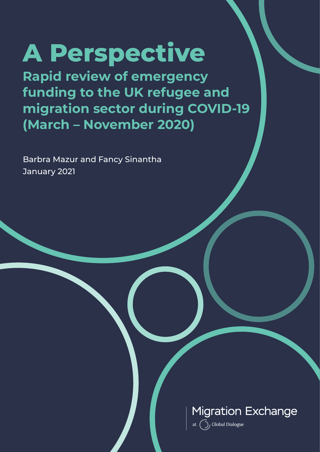# **A Perspective**

**Rapid review of emergency funding to the UK refugee and migration sector during COVID-19 (March – November 2020)** 

Barbra Mazur and Fancy Sinantha January 2021



at  $\bigodot$ , Global Dialogue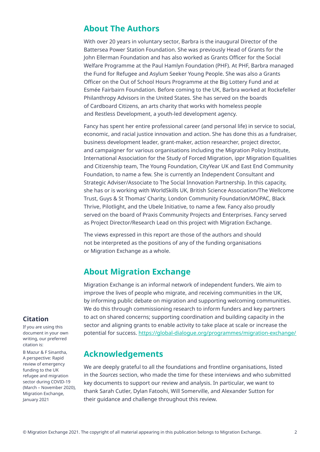### **About The Authors**

With over 20 years in voluntary sector, Barbra is the inaugural Director of the Battersea Power Station Foundation. She was previously Head of Grants for the John Ellerman Foundation and has also worked as Grants Officer for the Social Welfare Programme at the Paul Hamlyn Foundation (PHF). At PHF, Barbra managed the Fund for Refugee and Asylum Seeker Young People. She was also a Grants Officer on the Out of School Hours Programme at the Big Lottery Fund and at Esmée Fairbairn Foundation. Before coming to the UK, Barbra worked at Rockefeller Philanthropy Advisors in the United States. She has served on the boards of Cardboard Citizens, an arts charity that works with homeless people and Restless Development, a youth-led development agency.

Fancy has spent her entire professional career (and personal life) in service to social, economic, and racial justice innovation and action. She has done this as a fundraiser, business development leader, grant-maker, action researcher, project director, and campaigner for various organisations including the Migration Policy Institute, International Association for the Study of Forced Migration, ippr Migration Equalities and Citizenship team, The Young Foundation, CityYear UK and East End Community Foundation, to name a few. She is currently an Independent Consultant and Strategic Adviser/Associate to The Social Innovation Partnership. In this capacity, she has or is working with WorldSkills UK, British Science Association/The Wellcome Trust, Guys & St Thomas' Charity, London Community Foundation/MOPAC, Black Thrive, Pilotlight, and the Ubele Initiative, to name a few. Fancy also proudly served on the board of Praxis Community Projects and Enterprises. Fancy served as Project Director/Research Lead on this project with Migration Exchange.

The views expressed in this report are those of the authors and should not be interpreted as the positions of any of the funding organisations or Migration Exchange as a whole.

### **About Migration Exchange**

Migration Exchange is an informal network of independent funders. We aim to improve the lives of people who migrate, and receiving communities in the UK, by informing public debate on migration and supporting welcoming communities. We do this through commissioning research to inform funders and key partners to act on shared concerns; supporting coordination and building capacity in the sector and aligning grants to enable activity to take place at scale or increase the potential for success. https://global-dialogue.org/programmes/migration-exchange/

### **Acknowledgements**

We are deeply grateful to all the foundations and frontline organisations, listed in the *Sources* section, who made the time for these interviews and who submitted key documents to support our review and analysis. In particular, we want to thank Sarah Cutler, Dylan Fatoohi, Will Somerville, and Alexander Sutton for their guidance and challenge throughout this review.

### **Citation**

If you are using this document in your own writing, our preferred citation is:

B Mazur & F Sinantha, A perspective: Rapid review of emergency funding to the UK refugee and migration sector during COVID-19 (March – November 2020), Migration Exchange, January 2021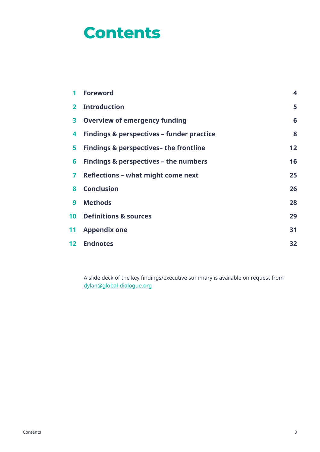# **Contents**

| 1               | <b>Foreword</b>                                      | $\overline{\mathbf{4}}$ |
|-----------------|------------------------------------------------------|-------------------------|
| $\mathbf{2}$    | <b>Introduction</b>                                  | 5                       |
| 3               | <b>Overview of emergency funding</b>                 | 6                       |
| 4               | <b>Findings &amp; perspectives - funder practice</b> | 8                       |
| 5               | <b>Findings &amp; perspectives- the frontline</b>    | 12                      |
| 6               | <b>Findings &amp; perspectives - the numbers</b>     | 16                      |
| 7               | <b>Reflections - what might come next</b>            | 25                      |
| 8               | <b>Conclusion</b>                                    | 26                      |
| 9               | <b>Methods</b>                                       | 28                      |
|                 | <b>10 Definitions &amp; sources</b>                  | 29                      |
| 11              | <b>Appendix one</b>                                  | 31                      |
| 12 <sup>1</sup> | <b>Endnotes</b>                                      | 32                      |

A slide deck of the key fndings/executive summary is available on request from dylan@global-dialogue.org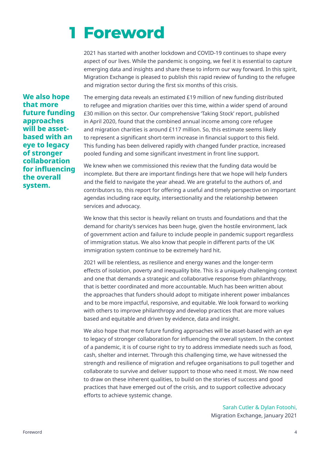# **Foreword 1**

2021 has started with another lockdown and COVID-19 continues to shape every aspect of our lives. While the pandemic is ongoing, we feel it is essential to capture emerging data and insights and share these to inform our way forward. In this spirit, Migration Exchange is pleased to publish this rapid review of funding to the refugee and migration sector during the first six months of this crisis.

**We also hope that more future funding approaches will be assetbased with an eye to legacy of stronger collaboration for infuencing the overall system.**

The emerging data reveals an estimated £19 million of new funding distributed to refugee and migration charities over this time, within a wider spend of around £30 million on this sector. Our comprehensive 'Taking Stock' report, published in April 2020, found that the combined annual income among core refugee and migration charities is around £117 million. So, this estimate seems likely to represent a signifcant short-term increase in fnancial support to this feld. This funding has been delivered rapidly with changed funder practice, increased pooled funding and some significant investment in front line support.

We knew when we commissioned this review that the funding data would be incomplete. But there are important fndings here that we hope will help funders and the feld to navigate the year ahead. We are grateful to the authors of, and contributors to, this report for ofering a useful and timely perspective on important agendas including race equity, intersectionality and the relationship between services and advocacy.

We know that this sector is heavily reliant on trusts and foundations and that the demand for charity's services has been huge, given the hostile environment, lack of government action and failure to include people in pandemic support regardless of immigration status. We also know that people in diferent parts of the UK immigration system continue to be extremely hard hit.

2021 will be relentless, as resilience and energy wanes and the longer-term efects of isolation, poverty and inequality bite. This is a uniquely challenging context and one that demands a strategic and collaborative response from philanthropy, that is better coordinated and more accountable. Much has been written about the approaches that funders should adopt to mitigate inherent power imbalances and to be more impactful, responsive, and equitable. We look forward to working with others to improve philanthropy and develop practices that are more values based and equitable and driven by evidence, data and insight.

We also hope that more future funding approaches will be asset-based with an eye to legacy of stronger collaboration for infuencing the overall system. In the context of a pandemic, it is of course right to try to address immediate needs such as food, cash, shelter and internet. Through this challenging time, we have witnessed the strength and resilience of migration and refugee organisations to pull together and collaborate to survive and deliver support to those who need it most. We now need to draw on these inherent qualities, to build on the stories of success and good practices that have emerged out of the crisis, and to support collective advocacy efforts to achieve systemic change.

> Sarah Cutler & Dylan Fotoohi, Migration Exchange, January 2021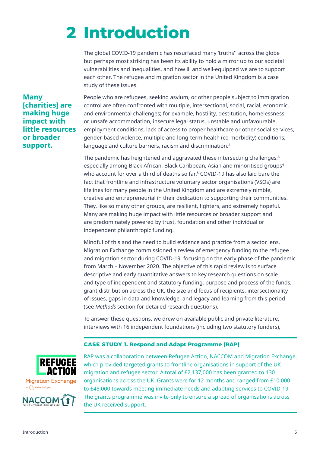# **Introduction 2**

The global COVID-19 pandemic has resurfaced many 'truths'<sup>1</sup> across the globe but perhaps most striking has been its ability to hold a mirror up to our societal vulnerabilities and inequalities, and how ill and well-equipped we are to support each other. The refugee and migration sector in the United Kingdom is a case study of these issues.

**Many [charities] are making huge impact with little resources or broader support.**

People who are refugees, seeking asylum, or other people subject to immigration control are often confronted with multiple, intersectional, social, racial, economic, and environmental challenges; for example, hostility, destitution, homelessness or unsafe accommodation, insecure legal status, unstable and unfavourable employment conditions, lack of access to proper healthcare or other social services, gender-based violence, multiple and long-term health (co-morbidity) conditions, language and culture barriers, racism and discrimination.<sup>2</sup>

The pandemic has heightened and aggravated these intersecting challenges;<sup>3</sup> especially among Black African, Black Caribbean, Asian and minoritised groups<sup>4</sup> who account for over a third of deaths so far.<sup>5</sup> COVID-19 has also laid bare the fact that frontline and infrastructure voluntary sector organisations (VSOs) are lifelines for many people in the United Kingdom and are extremely nimble, creative and entrepreneurial in their dedication to supporting their communities. They, like so many other groups, are resilient, fghters, and extremely hopeful. Many are making huge impact with little resources or broader support and are predominately powered by trust, foundation and other individual or independent philanthropic funding.

Mindful of this and the need to build evidence and practice from a sector lens, Migration Exchange commissioned a review of emergency funding to the refugee and migration sector during COVID-19, focusing on the early phase of the pandemic from March – November 2020. The objective of this rapid review is to surface descriptive and early quantitative answers to key research questions on scale and type of independent and statutory funding, purpose and process of the funds, grant distribution across the UK, the size and focus of recipients, intersectionality of issues, gaps in data and knowledge, and legacy and learning from this period (see *Methods* section for detailed research questions).

To answer these questions, we drew on available public and private literature, interviews with 16 independent foundations (including two statutory funders),

#### **CASE STUDY 1. Respond and Adapt Programme (RAP)**





RAP was a collaboration between Refugee Action, NACCOM and Migration Exchange, which provided targeted grants to frontline organisations in support of the UK migration and refugee sector. A total of £2,137,000 has been granted to 130 organisations across the UK. Grants were for 12 months and ranged from £10,000 to £45,000 towards meeting immediate needs and adapting services to COVID-19. The grants programme was invite-only to ensure a spread of organisations across the UK received support.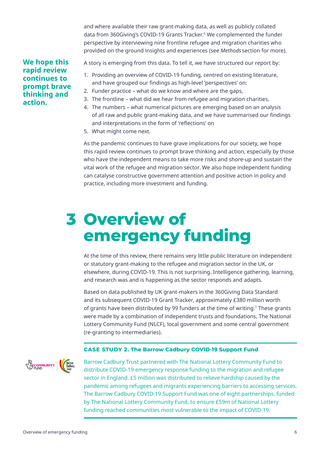and where available their raw grant-making data, as well as publicly collated data from 360Giving's COVID-19 Grants Tracker.6 We complemented the funder perspective by interviewing nine frontline refugee and migration charities who provided on the ground insights and experiences (see *Methods* section for more).

#### **We hope this rapid review continues to prompt brave thinking and action.**

A story is emerging from this data. To tell it, we have structured our report by:

- 1. Providing an overview of COVID-19 funding, centred on existing literature, and have grouped our findings as high-level 'perspectives' on:
- 2. Funder practice what do we know and where are the gaps,
- 3. The frontline what did we hear from refugee and migration charities,
- 4. The numbers what numerical pictures are emerging based on an analysis of all raw and public grant-making data, and we have summarised our fndings and interpretations in the form of 'refections' on
- 5. What might come next.

As the pandemic continues to have grave implications for our society, we hope this rapid review continues to prompt brave thinking and action, especially by those who have the independent means to take more risks and shore-up and sustain the vital work of the refugee and migration sector. We also hope independent funding can catalyse constructive government attention and positive action in policy and practice, including more investment and funding.

# **3 Overview of emergency funding**

At the time of this review, there remains very little public literature on independent or statutory grant-making to the refugee and migration sector in the UK, or elsewhere, during COVID-19. This is not surprising. Intelligence gathering, learning, and research was and is happening as the sector responds and adapts.

Based on data published by UK grant-makers in the 360Giving Data Standard and its subsequent COVID-19 Grant Tracker, approximately £380 million worth of grants have been distributed by 99 funders at the time of writing.7 These grants were made by a combination of independent trusts and foundations, The National Lottery Community Fund (NLCF), local government and some central government (re-granting to intermediaries).

#### **CASE STUDY 2. The Barrow Cadbury COVID-19 Support Fund**



Barrow Cadbury Trust partnered with The National Lottery Community Fund to distribute COVID-19 emergency response funding to the migration and refugee sector in England. £5 million was distributed to relieve hardship caused by the pandemic among refugees and migrants experiencing barriers to accessing services. The Barrow Cadbury COVID-19 Support Fund was one of eight partnerships, funded by The National Lottery Community Fund, to ensure £59m of National Lottery funding reached communities most vulnerable to the impact of COVID-19.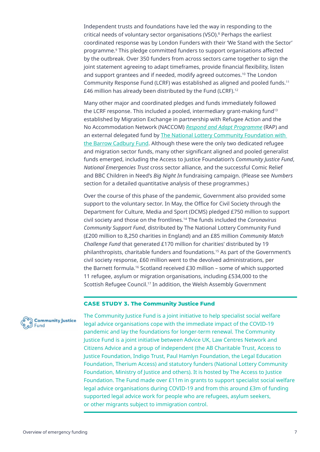Independent trusts and foundations have led the way in responding to the critical needs of voluntary sector organisations (VSO).8 Perhaps the earliest coordinated response was by London Funders with their 'We Stand with the Sector' programme.9 This pledge committed funders to support organisations afected by the outbreak. Over 350 funders from across sectors came together to sign the joint statement agreeing to adapt timeframes, provide financial flexibility, listen and support grantees and if needed, modify agreed outcomes.10 The London Community Response Fund (LCRF) was established as aligned and pooled funds.<sup>11</sup> £46 million has already been distributed by the Fund (LCRF).<sup>12</sup>

Many other major and coordinated pledges and funds immediately followed the LCRF response. This included a pooled, intermediary grant-making fund<sup>13</sup> established by Migration Exchange in partnership with Refugee Action and the No Accommodation Network (NACCOM) *Respond and Adapt Programme* (RAP) and an external delegated fund by The National Lottery Community Foundation with the Barrow Cadbury Fund. Although these were the only two dedicated refugee and migration sector funds, many other signifcant aligned and pooled generalist funds emerged, including the Access to Justice Foundation's *Community Justice Fund*, *National Emergencies Trust* cross sector alliance, and the successful Comic Relief and BBC Children in Need's *Big Night In* fundraising campaign. (Please see *Numbers* section for a detailed quantitative analysis of these programmes.)

Over the course of this phase of the pandemic, Government also provided some support to the voluntary sector. In May, the Office for Civil Society through the Department for Culture, Media and Sport (DCMS) pledged £750 million to support civil society and those on the frontlines.14 The funds included the *Coronavirus Community Support Fund*, distributed by The National Lottery Community Fund (£200 million to 8,250 charities in England) and an £85 million *Community Match Challenge Fund* that generated £170 million for charities' distributed by 19 philanthropists, charitable funders and foundations.15 As part of the Government's civil society response, £60 million went to the devolved administrations, per the Barnett formula.16 Scotland received £30 million – some of which supported 11 refugee, asylum or migration organisations, including £534,000 to the Scottish Refugee Council.17 In addition, the Welsh Assembly Government

#### **CASE STUDY 3. The Community Justice Fund**



The Community Justice Fund is a joint initiative to help specialist social welfare legal advice organisations cope with the immediate impact of the COVID-19 pandemic and lay the foundations for longer-term renewal. The Community Justice Fund is a joint initiative between Advice UK, Law Centres Network and Citizens Advice and a group of independent (the AB Charitable Trust, Access to Justice Foundation, Indigo Trust, Paul Hamlyn Foundation, the Legal Education Foundation, Therium Access) and statutory funders (National Lottery Community Foundation, Ministry of Justice and others). It is hosted by The Access to Justice Foundation. The Fund made over £11m in grants to support specialist social welfare legal advice organisations during COVID-19 and from this around £3m of funding supported legal advice work for people who are refugees, asylum seekers, or other migrants subject to immigration control.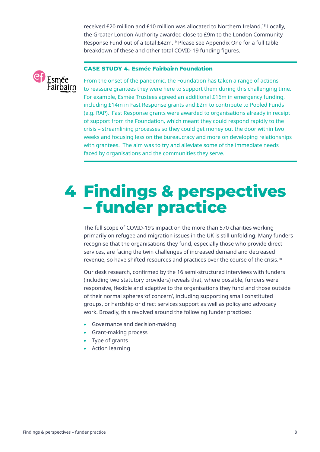received £20 million and £10 million was allocated to Northern Ireland.18 Locally, the Greater London Authority awarded close to £9m to the London Community Response Fund out of a total £42m.19 Please see Appendix One for a full table breakdown of these and other total COVID-19 funding figures.



#### **CASE STUDY 4. Esmée Fairbairn Foundation**

From the onset of the pandemic, the Foundation has taken a range of actions to reassure grantees they were here to support them during this challenging time. For example, Esmée Trustees agreed an additional £16m in emergency funding, including £14m in Fast Response grants and £2m to contribute to Pooled Funds (e.g. RAP). Fast Response grants were awarded to organisations already in receipt of support from the Foundation, which meant they could respond rapidly to the crisis – streamlining processes so they could get money out the door within two weeks and focusing less on the bureaucracy and more on developing relationships with grantees. The aim was to try and alleviate some of the immediate needs faced by organisations and the communities they serve.

# **Findings & perspectives 4 – funder practice**

The full scope of COVID-19's impact on the more than 570 charities working primarily on refugee and migration issues in the UK is still unfolding. Many funders recognise that the organisations they fund, especially those who provide direct services, are facing the twin challenges of increased demand and decreased revenue, so have shifted resources and practices over the course of the crisis.20

Our desk research, confrmed by the 16 semi-structured interviews with funders (including two statutory providers) reveals that, where possible, funders were responsive, fexible and adaptive to the organisations they fund and those outside of their normal spheres 'of concern', including supporting small constituted groups, or hardship or direct services support as well as policy and advocacy work. Broadly, this revolved around the following funder practices:

- Governance and decision-making
- Grant-making process
- Type of grants
- Action learning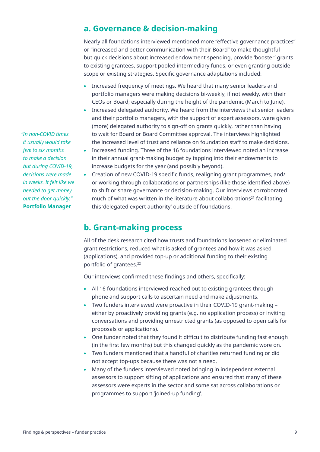*"In non-COVID times it usually would take five to six months to make a decision but during COVID-19, decisions were made in weeks. It felt like we needed to get money out the door quickly."* **Portfolio Manager**

# **a. Governance & decision-making**

Nearly all foundations interviewed mentioned more "efective governance practices" or "increased and better communication with their Board" to make thoughtful but quick decisions about increased endowment spending, provide 'booster' grants to existing grantees, support pooled intermediary funds, or even granting outside scope or existing strategies. Specific governance adaptations included:

- Increased frequency of meetings. We heard that many senior leaders and portfolio managers were making decisions bi-weekly, if not weekly, with their CEOs or Board; especially during the height of the pandemic (March to June).
- Increased delegated authority. We heard from the interviews that senior leaders and their portfolio managers, with the support of expert assessors, were given (more) delegated authority to sign-off on grants quickly, rather than having to wait for Board or Board Committee approval. The interviews highlighted the increased level of trust and reliance on foundation staff to make decisions.
- Increased funding. Three of the 16 foundations interviewed noted an increase in their annual grant-making budget by tapping into their endowments to increase budgets for the year (and possibly beyond).
- Creation of new COVID-19 specific funds, realigning grant programmes, and/ or working through collaborations or partnerships (like those identifed above) to shift or share governance or decision-making. Our interviews corroborated much of what was written in the literature about collaborations<sup>21</sup> facilitating this 'delegated expert authority' outside of foundations.

# **b. Grant-making process**

All of the desk research cited how trusts and foundations loosened or eliminated grant restrictions, reduced what is asked of grantees and how it was asked (applications), and provided top-up or additional funding to their existing portfolio of grantees.<sup>22</sup>

Our interviews confirmed these findings and others, specifically:

- All 16 foundations interviewed reached out to existing grantees through phone and support calls to ascertain need and make adjustments.
- Two funders interviewed were proactive in their COVID-19 grant-making either by proactively providing grants (e.g. no application process) or inviting conversations and providing unrestricted grants (as opposed to open calls for proposals or applications).
- One funder noted that they found it difficult to distribute funding fast enough (in the frst few months) but this changed quickly as the pandemic wore on.
- Two funders mentioned that a handful of charities returned funding or did not accept top-ups because there was not a need.
- Many of the funders interviewed noted bringing in independent external assessors to support sifting of applications and ensured that many of these assessors were experts in the sector and some sat across collaborations or programmes to support 'joined-up funding'.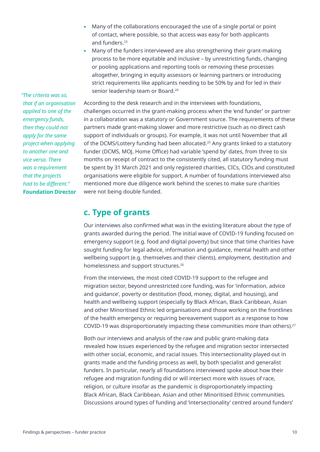- Many of the collaborations encouraged the use of a single portal or point of contact, where possible, so that access was easy for both applicants and funders.<sup>23</sup>
- Many of the funders interviewed are also strengthening their grant-making process to be more equitable and inclusive – by unrestricting funds, changing or pooling applications and reporting tools or removing these processes altogether, bringing in equity assessors or learning partners or introducing strict requirements like applicants needing to be 50% by and for led in their senior leadership team or Board.<sup>24</sup>

According to the desk research and in the interviews with foundations, challenges occurred in the grant-making process when the 'end funder' or partner in a collaboration was a statutory or Government source. The requirements of these partners made grant-making slower and more restrictive (such as no direct cash support of individuals or groups). For example, it was not until November that all of the DCMS/Lottery funding had been allocated.25 Any grants linked to a statutory funder (DCMS, MOJ, Home Office) had variable 'spend by' dates, from three to six months on receipt of contract to the consistently cited, all statutory funding must be spent by 31 March 2021 and only registered charities, CICs, CIOs and constituted organisations were eligible for support. A number of foundations interviewed also mentioned more due diligence work behind the scenes to make sure charities were not being double funded.

### **c. Type of grants**

Our interviews also confrmed what was in the existing literature about the type of grants awarded during the period. The initial wave of COVID-19 funding focused on emergency support (e.g. food and digital poverty) but since that time charities have sought funding for legal advice, information and guidance, mental health and other wellbeing support (e.g. themselves and their clients), employment, destitution and homelessness and support structures.26

From the interviews, the most cited COVID-19 support to the refugee and migration sector, beyond unrestricted core funding, was for 'information, advice and guidance', poverty or destitution (food, money, digital, and housing), and health and wellbeing support (especially by Black African, Black Caribbean, Asian and other Minoritised Ethnic led organisations and those working on the frontlines of the health emergency or requiring bereavement support as a response to how COVID-19 was disproportionately impacting these communities more than others).27

Both our interviews and analysis of the raw and public grant-making data revealed how issues experienced by the refugee and migration sector intersected with other social, economic, and racial issues. This intersectionality played out in grants made and the funding process as well, by both specialist and generalist funders. In particular, nearly all foundations interviewed spoke about how their refugee and migration funding did or will intersect more with issues of race, religion, or culture insofar as the pandemic is disproportionately impacting Black African, Black Caribbean, Asian and other Minoritised Ethnic communities. Discussions around types of funding and 'intersectionality' centred around funders'

*"The criteria was so, that if an organisation applied to one of the emergency funds, then they could not apply for the same project when applying to another one and vice versa. There was a requirement that the projects had to be diferent."* **Foundation Director**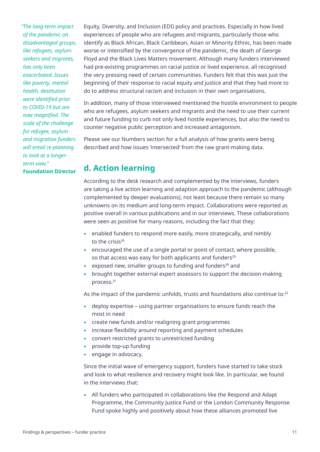*"The long-term impact of the pandemic on disadvantaged groups, like refugees, asylum seekers and migrants, has only been exacerbated. Issues like poverty, mental health, destitution were identifed prior to COVID-19 but are now magnifed. The scale of the challenge for refugee, asylum and migration funders will entail re-planning to look at a longerterm view."* **Foundation Director**

Equity, Diversity, and Inclusion (EDI) policy and practices. Especially in how lived experiences of people who are refugees and migrants, particularly those who identify as Black African, Black Caribbean, Asian or Minority Ethnic, has been made worse or intensifed by the convergence of the pandemic, the death of George Floyd and the Black Lives Matters movement. Although many funders interviewed had pre-existing programmes on racial justice or lived experience, all recognised the very pressing need of certain communities. Funders felt that this was just the beginning of their response to racial equity and justice and that they had more to do to address structural racism and inclusion in their own organisations.

In addition, many of those interviewed mentioned the hostile environment to people who are refugees, asylum seekers and migrants and the need to use their current and future funding to curb not only lived hostile experiences, but also the need to counter negative public perception and increased antagonism.

Please see our Numbers section for a full analysis of how grants were being described and how issues 'intersected' from the raw grant-making data.

# **d. Action learning**

According to the desk research and complemented by the interviews, funders are taking a live action learning and adaption approach to the pandemic (although complemented by deeper evaluations), not least because there remain so many unknowns on its medium and long-term impact. Collaborations were reported as positive overall in various publications and in our interviews. These collaborations were seen as positive for many reasons, including the fact that they:

- enabled funders to respond more easily, more strategically, and nimbly to the crisis<sup>28</sup>
- encouraged the use of a single portal or point of contact, where possible, so that access was easy for both applicants and funders<sup>29</sup>
- exposed new, smaller groups to funding and funders $30$  and
- brought together external expert assessors to support the decision-making process.31

As the impact of the pandemic unfolds, trusts and foundations also continue to: $32$ 

- deploy expertise using partner organisations to ensure funds reach the most in need
- create new funds and/or realigning grant programmes
- increase flexibility around reporting and payment schedules
- convert restricted grants to unrestricted funding
- provide top-up funding
- engage in advocacy.

Since the initial wave of emergency support, funders have started to take stock and look to what resilience and recovery might look like. In particular, we found in the interviews that:

• All funders who participated in collaborations like the Respond and Adapt Programme, the Community Justice Fund or the London Community Response Fund spoke highly and positively about how these alliances promoted live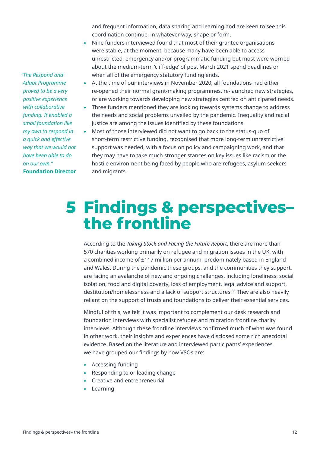and frequent information, data sharing and learning and are keen to see this coordination continue, in whatever way, shape or form.

- Nine funders interviewed found that most of their grantee organisations were stable, at the moment, because many have been able to access unrestricted, emergency and/or programmatic funding but most were worried about the medium-term 'clif-edge' of post March 2021 spend deadlines or when all of the emergency statutory funding ends.
- At the time of our interviews in November 2020, all foundations had either re-opened their normal grant-making programmes, re-launched new strategies, or are working towards developing new strategies centred on anticipated needs.
- Three funders mentioned they are looking towards systems change to address the needs and social problems unveiled by the pandemic. Inequality and racial justice are among the issues identifed by these foundations.
- Most of those interviewed did not want to go back to the status-quo of short-term restrictive funding, recognised that more long-term unrestrictive support was needed, with a focus on policy and campaigning work, and that they may have to take much stronger stances on key issues like racism or the hostile environment being faced by people who are refugees, asylum seekers and migrants.

# **Findings & perspectives– 5 the frontline**

According to the *Taking Stock and Facing the Future Report*, there are more than 570 charities working primarily on refugee and migration issues in the UK, with a combined income of £117 million per annum, predominately based in England and Wales. During the pandemic these groups, and the communities they support, are facing an avalanche of new and ongoing challenges, including loneliness, social isolation, food and digital poverty, loss of employment, legal advice and support, destitution/homelessness and a lack of support structures.33 They are also heavily reliant on the support of trusts and foundations to deliver their essential services.

Mindful of this, we felt it was important to complement our desk research and foundation interviews with specialist refugee and migration frontline charity interviews. Although these frontline interviews confrmed much of what was found in other work, their insights and experiences have disclosed some rich anecdotal evidence. Based on the literature and interviewed participants' experiences, we have grouped our findings by how VSOs are:

- Accessing funding
- Responding to or leading change
- Creative and entrepreneurial
- Learning

*"The Respond and Adapt Programme proved to be a very positive experience with collaborative funding. It enabled a small foundation like my own to respond in a quick and efective way that we would not have been able to do on our own."* **Foundation Director**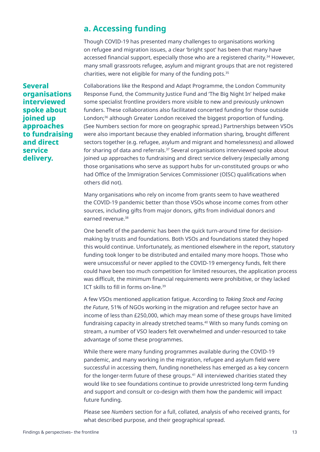# **a. Accessing funding**

Though COVID-19 has presented many challenges to organisations working on refugee and migration issues, a clear 'bright spot' has been that many have accessed fnancial support, especially those who are a registered charity.34 However, many small grassroots refugee, asylum and migrant groups that are not registered charities, were not eligible for many of the funding pots.35

**Several organisations interviewed spoke about joined up approaches to fundraising and direct service delivery.**

Collaborations like the Respond and Adapt Programme, the London Community Response Fund, the Community Justice Fund and 'The Big Night In' helped make some specialist frontline providers more visible to new and previously unknown funders. These collaborations also facilitated concerted funding for those outside London;<sup>36</sup> although Greater London received the biggest proportion of funding. (See Numbers section for more on geographic spread.) Partnerships between VSOs were also important because they enabled information sharing, brought diferent sectors together (e.g. refugee, asylum and migrant and homelessness) and allowed for sharing of data and referrals.37 Several organisations interviewed spoke about joined up approaches to fundraising and direct service delivery (especially among those organisations who serve as support hubs for un-constituted groups or who had Office of the Immigration Services Commissioner (OISC) qualifications when others did not).

Many organisations who rely on income from grants seem to have weathered the COVID-19 pandemic better than those VSOs whose income comes from other sources, including gifts from major donors, gifts from individual donors and earned revenue.38

One benefit of the pandemic has been the quick turn-around time for decisionmaking by trusts and foundations. Both VSOs and foundations stated they hoped this would continue. Unfortunately, as mentioned elsewhere in the report, statutory funding took longer to be distributed and entailed many more hoops. Those who were unsuccessful or never applied to the COVID-19 emergency funds, felt there could have been too much competition for limited resources, the application process was difficult, the minimum financial requirements were prohibitive, or they lacked ICT skills to fll in forms on-line.<sup>39</sup>

A few VSOs mentioned application fatigue. According to *Taking Stock and Facing the Future*, 51% of NGOs working in the migration and refugee sector have an income of less than £250,000, which may mean some of these groups have limited fundraising capacity in already stretched teams.<sup>40</sup> With so many funds coming on stream, a number of VSO leaders felt overwhelmed and under-resourced to take advantage of some these programmes.

While there were many funding programmes available during the COVID-19 pandemic, and many working in the migration, refugee and asylum feld were successful in accessing them, funding nonetheless has emerged as a key concern for the longer-term future of these groups.<sup>41</sup> All interviewed charities stated they would like to see foundations continue to provide unrestricted long-term funding and support and consult or co-design with them how the pandemic will impact future funding.

Please see *Numbers* section for a full, collated, analysis of who received grants, for what described purpose, and their geographical spread.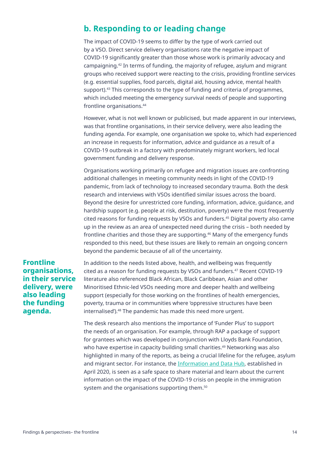# **b. Responding to or leading change**

The impact of COVID-19 seems to differ by the type of work carried out by a VSO. Direct service delivery organisations rate the negative impact of COVID-19 signifcantly greater than those whose work is primarily advocacy and campaigning.42 In terms of funding, the majority of refugee, asylum and migrant groups who received support were reacting to the crisis, providing frontline services (e.g. essential supplies, food parcels, digital aid, housing advice, mental health support).43 This corresponds to the type of funding and criteria of programmes, which included meeting the emergency survival needs of people and supporting frontline organisations.44

However, what is not well known or publicised, but made apparent in our interviews, was that frontline organisations, in their service delivery, were also leading the funding agenda. For example, one organisation we spoke to, which had experienced an increase in requests for information, advice and guidance as a result of a COVID-19 outbreak in a factory with predominately migrant workers, led local government funding and delivery response.

Organisations working primarily on refugee and migration issues are confronting additional challenges in meeting community needs in light of the COVID-19 pandemic, from lack of technology to increased secondary trauma. Both the desk research and interviews with VSOs identifed similar issues across the board. Beyond the desire for unrestricted core funding, information, advice, guidance, and hardship support (e.g. people at risk, destitution, poverty) were the most frequently cited reasons for funding requests by VSOs and funders.45 Digital poverty also came up in the review as an area of unexpected need during the crisis – both needed by frontline charities and those they are supporting.46 Many of the emergency funds responded to this need, but these issues are likely to remain an ongoing concern beyond the pandemic because of all of the uncertainty.

#### **Frontline organisations, in their service delivery, were also leading the funding agenda.**

In addition to the needs listed above, health, and wellbeing was frequently cited as a reason for funding requests by VSOs and funders.47 Recent COVID-19 literature also referenced Black African, Black Caribbean, Asian and other Minoritised Ethnic-led VSOs needing more and deeper health and wellbeing support (especially for those working on the frontlines of health emergencies, poverty, trauma or in communities where 'oppressive structures have been internalised').<sup>48</sup> The pandemic has made this need more urgent.

The desk research also mentions the importance of 'Funder Plus' to support the needs of an organisation. For example, through RAP a package of support for grantees which was developed in conjunction with Lloyds Bank Foundation, who have expertise in capacity building small charities.<sup>49</sup> Networking was also highlighted in many of the reports, as being a crucial lifeline for the refugee, asylum and migrant sector. For instance, the Information and Data Hub, established in April 2020, is seen as a safe space to share material and learn about the current information on the impact of the COVID-19 crisis on people in the immigration system and the organisations supporting them.<sup>50</sup>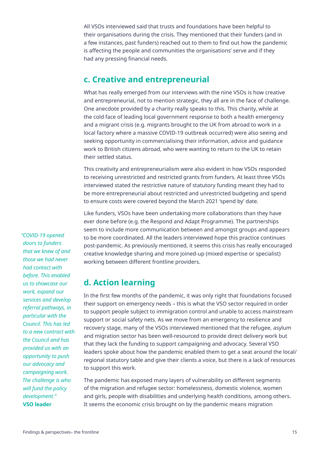All VSOs interviewed said that trusts and foundations have been helpful to their organisations during the crisis. They mentioned that their funders (and in a few instances, past funders) reached out to them to fnd out how the pandemic is afecting the people and communities the organisations' serve and if they had any pressing financial needs.

### **c. Creative and entrepreneurial**

What has really emerged from our interviews with the nine VSOs is how creative and entrepreneurial, not to mention strategic, they all are in the face of challenge. One anecdote provided by a charity really speaks to this. This charity, while at the cold face of leading local government response to both a health emergency and a migrant crisis (e.g. migrants brought to the UK from abroad to work in a local factory where a massive COVID-19 outbreak occurred) were also seeing and seeking opportunity in commercialising their information, advice and guidance work to British citizens abroad, who were wanting to return to the UK to retain their settled status.

This creativity and entrepreneurialism were also evident in how VSOs responded to receiving unrestricted and restricted grants from funders. At least three VSOs interviewed stated the restrictive nature of statutory funding meant they had to be more entrepreneurial about restricted and unrestricted budgeting and spend to ensure costs were covered beyond the March 2021 'spend by' date.

Like funders, VSOs have been undertaking more collaborations than they have ever done before (e.g. the Respond and Adapt Programme). The partnerships seem to include more communication between and amongst groups and appears to be more coordinated. All the leaders interviewed hope this practice continues post-pandemic. As previously mentioned, it seems this crisis has really encouraged creative knowledge sharing and more joined-up (mixed expertise or specialist) working between diferent frontline providers.

# **d. Action learning**

In the frst few months of the pandemic, it was only right that foundations focused their support on emergency needs – this is what the VSO sector required in order to support people subject to immigration control and unable to access mainstream support or social safety nets. As we move from an emergency to resilience and recovery stage, many of the VSOs interviewed mentioned that the refugee, asylum and migration sector has been well-resourced to provide direct delivery work but that they lack the funding to support campaigning and advocacy. Several VSO leaders spoke about how the pandemic enabled them to get a seat around the local/ regional statutory table and give their clients a voice, but there is a lack of resources to support this work.

The pandemic has exposed many layers of vulnerability on diferent segments of the migration and refugee sector: homelessness, domestic violence, women and girls, people with disabilities and underlying health conditions, among others. It seems the economic crisis brought on by the pandemic means migration

*"COVID-19 opened doors to funders that we knew of and those we had never had contact with before. This enabled us to showcase our work, expand our services and develop referral pathways, in particular with the Council. This has led to a new contract with the Council and has provided us with an opportunity to push our advocacy and campaigning work. The challenge is who will fund the policy development."*  **VSO leader**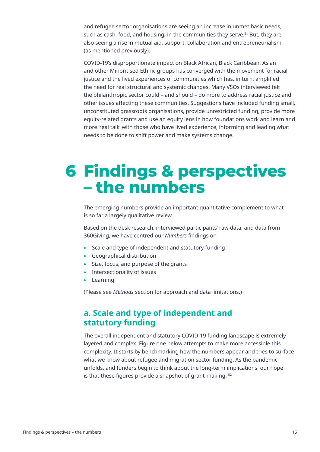and refugee sector organisations are seeing an increase in unmet basic needs, such as cash, food, and housing, in the communities they serve.<sup>51</sup> But, they are also seeing a rise in mutual aid, support, collaboration and entrepreneurialism (as mentioned previously).

COVID-19's disproportionate impact on Black African, Black Caribbean, Asian and other Minoritised Ethnic groups has converged with the movement for racial justice and the lived experiences of communities which has, in turn, amplified the need for real structural and systemic changes. Many VSOs interviewed felt the philanthropic sector could – and should – do more to address racial justice and other issues afecting these communities. Suggestions have included funding small, unconstituted grassroots organisations, provide unrestricted funding, provide more equity-related grants and use an equity lens in how foundations work and learn and more 'real talk' with those who have lived experience, informing and leading what needs to be done to shift power and make systems change.

# **Findings & perspectives 6– the numbers**

The emerging numbers provide an important quantitative complement to what is so far a largely qualitative review.

Based on the desk research, interviewed participants' raw data, and data from 360Giving, we have centred our *Numbers* fndings on

- Scale and type of independent and statutory funding
- Geographical distribution
- Size, focus, and purpose of the grants
- Intersectionality of issues
- Learning

(Please see *Methods* section for approach and data limitations.)

### **a. Scale and type of independent and statutory funding**

The overall independent and statutory COVID-19 funding landscape is extremely layered and complex. Figure one below attempts to make more accessible this complexity. It starts by benchmarking how the numbers appear and tries to surface what we know about refugee and migration sector funding. As the pandemic unfolds, and funders begin to think about the long-term implications, our hope is that these figures provide a snapshot of grant-making. <sup>52</sup>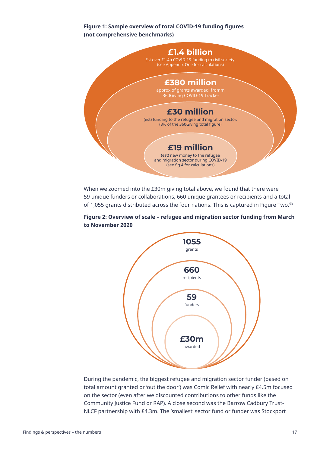#### **Figure 1: Sample overview of total COVID-19 funding fgures (not comprehensive benchmarks)**



When we zoomed into the £30m giving total above, we found that there were 59 unique funders or collaborations, 660 unique grantees or recipients and a total of 1,055 grants distributed across the four nations. This is captured in Figure Two.<sup>53</sup>

#### **Figure 2: Overview of scale – refugee and migration sector funding from March to November 2020**



During the pandemic, the biggest refugee and migration sector funder (based on total amount granted or 'out the door') was Comic Relief with nearly £4.5m focused on the sector (even after we discounted contributions to other funds like the Community Justice Fund or RAP). A close second was the Barrow Cadbury Trust-NLCF partnership with £4.3m. The 'smallest' sector fund or funder was Stockport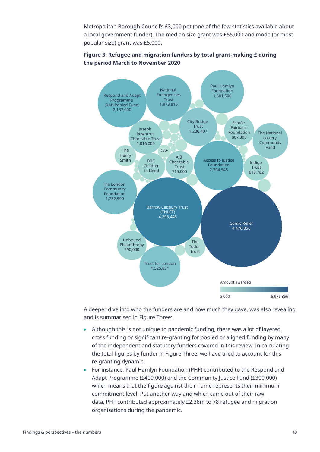Metropolitan Borough Council's £3,000 pot (one of the few statistics available about a local government funder). The median size grant was £55,000 and mode (or most popular size) grant was £5,000.



#### **Figure 3: Refugee and migration funders by total grant-making £ during the period March to November 2020**

A deeper dive into who the funders are and how much they gave, was also revealing and is summarised in Figure Three:

- Although this is not unique to pandemic funding, there was a lot of layered, cross funding or signifcant re-granting for pooled or aligned funding by many of the independent and statutory funders covered in this review. In calculating the total figures by funder in Figure Three, we have tried to account for this re-granting dynamic.
- For instance, Paul Hamlyn Foundation (PHF) contributed to the Respond and Adapt Programme (£400,000) and the Community Justice Fund (£300,000) which means that the figure against their name represents their minimum commitment level. Put another way and which came out of their raw data, PHF contributed approximately £2.38m to 78 refugee and migration organisations during the pandemic.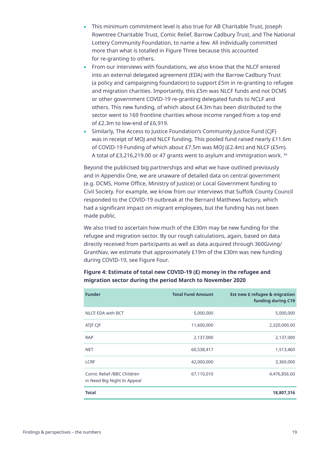- This minimum commitment level is also true for AB Charitable Trust, Joseph Rowntree Charitable Trust, Comic Relief, Barrow Cadbury Trust, and The National Lottery Community Foundation, to name a few. All individually committed more than what is totalled in Figure Three because this accounted for re-granting to others.
- From our interviews with foundations, we also know that the NLCF entered into an external delegated agreement (EDA) with the Barrow Cadbury Trust (a policy and campaigning foundation) to support £5m in re-granting to refugee and migration charities. Importantly, this £5m was NLCF funds and not DCMS or other government COVID-19 re-granting delegated funds to NCLF and others. This new funding, of which about £4.3m has been distributed to the sector went to 169 frontline charities whose income ranged from a top end of £2.3m to low-end of £6,919.
- Similarly, The Access to Justice Foundation's Community Justice Fund (CJF) was in receipt of MOJ and NLCF funding. This pooled fund raised nearly £11.6m of COVID-19 Funding of which about £7.5m was MOJ (£2.4m) and NLCF (£5m). A total of £3,216,219.00 or 47 grants went to asylum and immigration work. 54

Beyond the publicised big partnerships and what we have outlined previously and in Appendix One, we are unaware of detailed data on central government (e.g. DCMS, Home Office, Ministry of Justice) or Local Government funding to Civil Society. For example, we know from our interviews that Suffolk County Council responded to the COVID-19 outbreak at the Bernard Matthews factory, which had a signifcant impact on migrant employees, but the funding has not been made public.

We also tried to ascertain how much of the £30m may be new funding for the refugee and migration sector. By our rough calculations, again, based on data directly received from participants as well as data acquired through 360Giving/ GrantNav, we estimate that approximately £19m of the £30m was new funding during COVID-19, see Figure Four.

| <b>Funder</b>                                             | <b>Total Fund Amount</b> | <b>Est new £ refugee &amp; migration</b><br>funding during C19 |
|-----------------------------------------------------------|--------------------------|----------------------------------------------------------------|
| <b>NLCF EDA with BCT</b>                                  | 5,000,000                | 5,000,000                                                      |
| ATJF CJF                                                  | 11,600,000               | 2,320,000.00                                                   |
| <b>RAP</b>                                                | 2,137,000                | 2,137,000                                                      |
| <b>NET</b>                                                | 60,538,417               | 1,513,460                                                      |
| <b>LCRF</b>                                               | 42,000,000               | 3,360,000                                                      |
| Comic Relief /BBC Children<br>in Need Big Night In Appeal | 67,110,010               | 4,476,856.00                                                   |
| <b>Total</b>                                              |                          | 18,807,316                                                     |

#### **Figure 4: Estimate of total new COVID-19 (£) money in the refugee and migration sector during the period March to November 2020**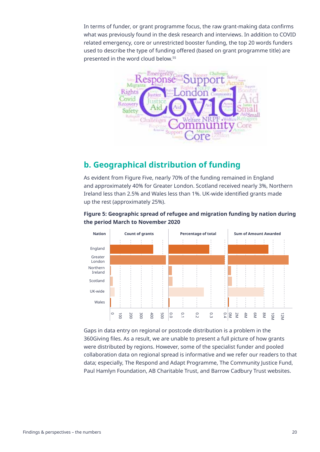In terms of funder, or grant programme focus, the raw grant-making data confrms what was previously found in the desk research and interviews. In addition to COVID related emergency, core or unrestricted booster funding, the top 20 words funders used to describe the type of funding ofered (based on grant programme title) are presented in the word cloud below.55



# **b. Geographical distribution of funding**

As evident from Figure Five, nearly 70% of the funding remained in England and approximately 40% for Greater London. Scotland received nearly 3%, Northern Ireland less than 2.5% and Wales less than 1%. UK-wide identifed grants made up the rest (approximately 25%).

#### **Figure 5: Geographic spread of refugee and migration funding by nation during the period March to November 2020**



Gaps in data entry on regional or postcode distribution is a problem in the 360Giving fles. As a result, we are unable to present a full picture of how grants were distributed by regions. However, some of the specialist funder and pooled collaboration data on regional spread is informative and we refer our readers to that data; especially, The Respond and Adapt Programme, The Community Justice Fund, Paul Hamlyn Foundation, AB Charitable Trust, and Barrow Cadbury Trust websites.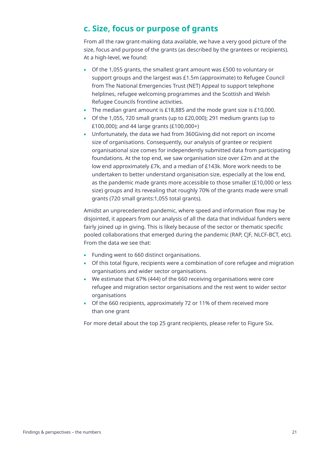# **c. Size, focus or purpose of grants**

From all the raw grant-making data available, we have a very good picture of the size, focus and purpose of the grants (as described by the grantees or recipients). At a high-level, we found:

- Of the 1,055 grants, the smallest grant amount was £500 to voluntary or support groups and the largest was £1.5m (approximate) to Refugee Council from The National Emergencies Trust (NET) Appeal to support telephone helplines, refugee welcoming programmes and the Scottish and Welsh Refugee Councils frontline activities.
- The median grant amount is £18,885 and the mode grant size is £10,000.
- Of the 1,055, 720 small grants (up to £20,000); 291 medium grants (up to £100,000); and 44 large grants (£100,000+)
- Unfortunately, the data we had from 360Giving did not report on income size of organisations. Consequently, our analysis of grantee or recipient organisational size comes for independently submitted data from participating foundations. At the top end, we saw organisation size over £2m and at the low end approximately £7k, and a median of £143k. More work needs to be undertaken to better understand organisation size, especially at the low end, as the pandemic made grants more accessible to those smaller (£10,000 or less size) groups and its revealing that roughly 70% of the grants made were small grants (720 small grants:1,055 total grants).

Amidst an unprecedented pandemic, where speed and information flow may be disjointed, it appears from our analysis of all the data that individual funders were fairly joined up in giving. This is likely because of the sector or thematic specific pooled collaborations that emerged during the pandemic (RAP, CJF, NLCF-BCT, etc). From the data we see that:

- Funding went to 660 distinct organisations.
- Of this total figure, recipients were a combination of core refugee and migration organisations and wider sector organisations.
- We estimate that 67% (444) of the 660 receiving organisations were core refugee and migration sector organisations and the rest went to wider sector organisations
- Of the 660 recipients, approximately 72 or 11% of them received more than one grant

For more detail about the top 25 grant recipients, please refer to Figure Six.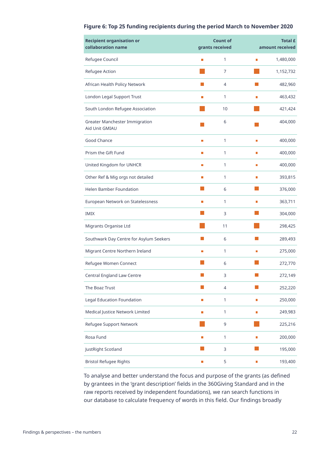#### **Figure 6: Top 25 funding recipients during the period March to November 2020**

| <b>Recipient organisation or</b><br>collaboration name | <b>Count of</b><br>grants received |                |   | <b>Total £</b><br>amount received |  |
|--------------------------------------------------------|------------------------------------|----------------|---|-----------------------------------|--|
| Refugee Council                                        |                                    | 1              | П | 1,480,000                         |  |
| Refugee Action                                         |                                    | 7              |   | 1,152,732                         |  |
| African Health Policy Network                          |                                    | $\overline{4}$ |   | 482,960                           |  |
| London Legal Support Trust                             | г                                  | 1              | П | 463,432                           |  |
| South London Refugee Association                       |                                    | 10             |   | 421,424                           |  |
| Greater Manchester Immigration<br>Aid Unit GMIAU       |                                    | 6              |   | 404,000                           |  |
| Good Chance                                            | П                                  | 1              | П | 400,000                           |  |
| Prism the Gift Fund                                    | П                                  | 1              | Г | 400,000                           |  |
| United Kingdom for UNHCR                               | ш                                  | 1              | П | 400,000                           |  |
| Other Ref & Mig orgs not detailed                      | П                                  | 1              | П | 393,815                           |  |
| Helen Bamber Foundation                                |                                    | 6              |   | 376,000                           |  |
| European Network on Statelessness                      | г                                  | 1              | г | 363,711                           |  |
| <b>IMIX</b>                                            |                                    | 3              |   | 304,000                           |  |
| Migrants Organise Ltd                                  |                                    | 11             |   | 298,425                           |  |
| Southwark Day Centre for Asylum Seekers                |                                    | 6              |   | 289,493                           |  |
| Migrant Centre Northern Ireland                        | П                                  | 1              |   | 275,000                           |  |
| Refugee Women Connect                                  |                                    | 6              |   | 272,770                           |  |
| Central England Law Centre                             |                                    | 3              |   | 272,149                           |  |
| The Boaz Trust                                         |                                    | $\overline{4}$ |   | 252,220                           |  |
| <b>Legal Education Foundation</b>                      | П                                  | $\mathbf{1}$   | П | 250,000                           |  |
| Medical Justice Network Limited                        | П                                  | $\mathbf{1}$   | П | 249,983                           |  |
| Refugee Support Network                                |                                    | 9              |   | 225,216                           |  |
| Rosa Fund                                              | П                                  | 1              | П | 200,000                           |  |
| JustRight Scotland                                     |                                    | 3              |   | 195,000                           |  |
| <b>Bristol Refugee Rights</b>                          | П                                  | 5              | Π | 193,400                           |  |

To analyse and better understand the focus and purpose of the grants (as defned by grantees in the 'grant description' fields in the 360Giving Standard and in the raw reports received by independent foundations), we ran search functions in our database to calculate frequency of words in this field. Our findings broadly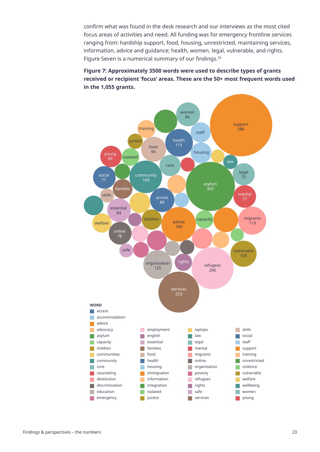confrm what was found in the desk research and our interviews as the most cited focus areas of activities and need. All funding was for emergency frontline services ranging from: hardship support, food, housing, unrestricted, maintaining services, information, advice and guidance; health, women, legal, vulnerable, and rights. Figure Seven is a numerical summary of our findings.<sup>56</sup>

**Figure 7: Approximately 3500 words were used to describe types of grants received or recipient 'focus' areas. These are the 50+ most frequent words used in the 1,055 grants.**

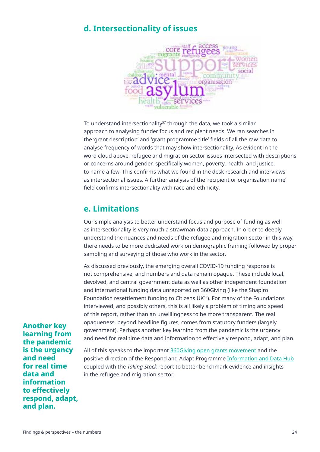### **d. Intersectionality of issues**



To understand intersectionality<sup>57</sup> through the data, we took a similar approach to analysing funder focus and recipient needs. We ran searches in the 'grant description' and 'grant programme title' fields of all the raw data to analyse frequency of words that may show intersectionality. As evident in the word cloud above, refugee and migration sector issues intersected with descriptions or concerns around gender, specifcally women, poverty, health, and justice, to name a few. This confrms what we found in the desk research and interviews as intersectional issues. A further analysis of the 'recipient or organisation name' field confirms intersectionality with race and ethnicity.

### **e. Limitations**

Our simple analysis to better understand focus and purpose of funding as well as intersectionality is very much a strawman-data approach. In order to deeply understand the nuances and needs of the refugee and migration sector in this way, there needs to be more dedicated work on demographic framing followed by proper sampling and surveying of those who work in the sector.

As discussed previously, the emerging overall COVID-19 funding response is not comprehensive, and numbers and data remain opaque. These include local, devolved, and central government data as well as other independent foundation and international funding data unreported on 360Giving (like the Shapiro Foundation resettlement funding to Citizens UK58). For many of the Foundations interviewed, and possibly others, this is all likely a problem of timing and speed of this report, rather than an unwillingness to be more transparent. The real opaqueness, beyond headline fgures, comes from statutory funders (largely government). Perhaps another key learning from the pandemic is the urgency and need for real time data and information to efectively respond, adapt, and plan.

**Another key learning from the pandemic is the urgency and need for real time data and information to efectively respond, adapt, and plan.**

All of this speaks to the important 360Giving open grants movement and the positive direction of the Respond and Adapt Programme Information and Data Hub coupled with the *Taking Stock* report to better benchmark evidence and insights in the refugee and migration sector.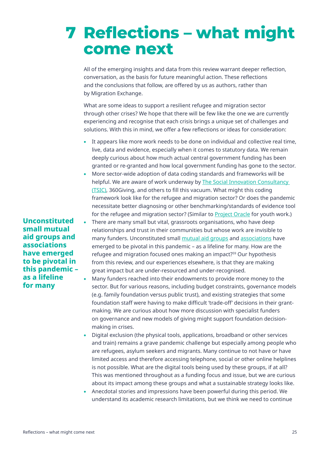# **7** Reflections – what might **come next**

All of the emerging insights and data from this review warrant deeper refection, conversation, as the basis for future meaningful action. These refections and the conclusions that follow, are offered by us as authors, rather than by Migration Exchange.

What are some ideas to support a resilient refugee and migration sector through other crises? We hope that there will be few like the one we are currently experiencing and recognise that each crisis brings a unique set of challenges and solutions. With this in mind, we offer a few reflections or ideas for consideration:

- It appears like more work needs to be done on individual and collective real time, live, data and evidence, especially when it comes to statutory data. We remain deeply curious about how much actual central government funding has been granted or re-granted and how local government funding has gone to the sector.
- More sector-wide adoption of data coding standards and frameworks will be helpful. We are aware of work underway by The Social Innovation Consultancy (TSIC), 360Giving, and others to fll this vacuum. What might this coding framework look like for the refugee and migration sector? Or does the pandemic necessitate better diagnosing or other benchmarking/standards of evidence tool for the refugee and migration sector? (Similar to Project Oracle for youth work.)
- There are many small but vital, grassroots organisations, who have deep relationships and trust in their communities but whose work are invisible to many funders. Unconstituted small mutual aid groups and associations have emerged to be pivotal in this pandemic – as a lifeline for many. How are the refugee and migration focused ones making an impact?59 Our hypothesis from this review, and our experiences elsewhere, is that they are making great impact but are under-resourced and under-recognised.
- Many funders reached into their endowments to provide more money to the sector. But for various reasons, including budget constraints, governance models (e.g. family foundation versus public trust), and existing strategies that some foundation staff were having to make difficult 'trade-off' decisions in their grantmaking. We are curious about how more discussion with specialist funders on governance and new models of giving might support foundation decisionmaking in crises.
- Digital exclusion (the physical tools, applications, broadband or other services and train) remains a grave pandemic challenge but especially among people who are refugees, asylum seekers and migrants. Many continue to not have or have limited access and therefore accessing telephone, social or other online helplines is not possible. What are the digital tools being used by these groups, if at all? This was mentioned throughout as a funding focus and issue, but we are curious about its impact among these groups and what a sustainable strategy looks like.
- Anecdotal stories and impressions have been powerful during this period. We understand its academic research limitations, but we think we need to continue

**Unconstituted small mutual aid groups and associations have emerged to be pivotal in this pandemic – as a lifeline for many**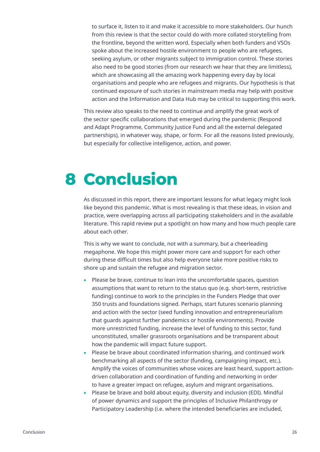to surface it, listen to it and make it accessible to more stakeholders. Our hunch from this review is that the sector could do with more collated storytelling from the frontline, beyond the written word. Especially when both funders and VSOs spoke about the increased hostile environment to people who are refugees, seeking asylum, or other migrants subject to immigration control. These stories also need to be good stories (from our research we hear that they are limitless), which are showcasing all the amazing work happening every day by local organisations and people who are refugees and migrants. Our hypothesis is that continued exposure of such stories in mainstream media may help with positive action and the Information and Data Hub may be critical to supporting this work.

This review also speaks to the need to continue and amplify the great work of the sector specifc collaborations that emerged during the pandemic (Respond and Adapt Programme, Community Justice Fund and all the external delegated partnerships), in whatever way, shape, or form. For all the reasons listed previously, but especially for collective intelligence, action, and power.

# **Conclusion 8**

As discussed in this report, there are important lessons for what legacy might look like beyond this pandemic. What is most revealing is that these ideas, in vision and practice, were overlapping across all participating stakeholders and in the available literature. This rapid review put a spotlight on how many and how much people care about each other.

This is why we want to conclude, not with a summary, but a cheerleading megaphone. We hope this might power more care and support for each other during these difficult times but also help everyone take more positive risks to shore up and sustain the refugee and migration sector.

- Please be brave, continue to lean into the uncomfortable spaces, question assumptions that want to return to the status quo (e.g. short-term, restrictive funding) continue to work to the principles in the Funders Pledge that over 350 trusts and foundations signed. Perhaps, start futures scenario planning and action with the sector (seed funding innovation and entrepreneurialism that guards against further pandemics or hostile environments). Provide more unrestricted funding, increase the level of funding to this sector, fund unconstituted, smaller grassroots organisations and be transparent about how the pandemic will impact future support.
- Please be brave about coordinated information sharing, and continued work benchmarking all aspects of the sector (funding, campaigning impact, etc.). Amplify the voices of communities whose voices are least heard, support actiondriven collaboration and coordination of funding and networking in order to have a greater impact on refugee, asylum and migrant organisations.
- Please be brave and bold about equity, diversity and inclusion (EDI). Mindful of power dynamics and support the principles of Inclusive Philanthropy or Participatory Leadership (i.e. where the intended beneficiaries are included,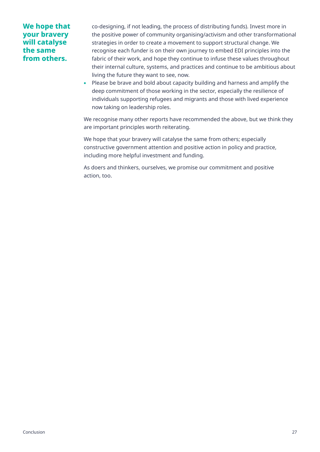#### **We hope that your bravery will catalyse the same from others.**

co-designing, if not leading, the process of distributing funds). Invest more in the positive power of community organising/activism and other transformational strategies in order to create a movement to support structural change. We recognise each funder is on their own journey to embed EDI principles into the fabric of their work, and hope they continue to infuse these values throughout their internal culture, systems, and practices and continue to be ambitious about living the future they want to see, now.

• Please be brave and bold about capacity building and harness and amplify the deep commitment of those working in the sector, especially the resilience of individuals supporting refugees and migrants and those with lived experience now taking on leadership roles.

We recognise many other reports have recommended the above, but we think they are important principles worth reiterating.

We hope that your bravery will catalyse the same from others; especially constructive government attention and positive action in policy and practice, including more helpful investment and funding.

As doers and thinkers, ourselves, we promise our commitment and positive action, too.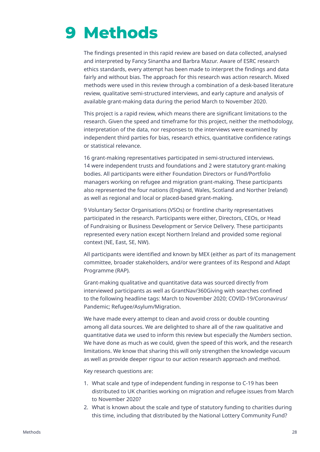# **Methods 9**

The fndings presented in this rapid review are based on data collected, analysed and interpreted by Fancy Sinantha and Barbra Mazur. Aware of ESRC research ethics standards, every attempt has been made to interpret the fndings and data fairly and without bias. The approach for this research was action research. Mixed methods were used in this review through a combination of a desk-based literature review, qualitative semi-structured interviews, and early capture and analysis of available grant-making data during the period March to November 2020.

This project is a rapid review, which means there are signifcant limitations to the research. Given the speed and timeframe for this project, neither the methodology, interpretation of the data, nor responses to the interviews were examined by independent third parties for bias, research ethics, quantitative confidence ratings or statistical relevance.

16 grant-making representatives participated in semi-structured interviews. 14 were independent trusts and foundations and 2 were statutory grant-making bodies. All participants were either Foundation Directors or Fund/Portfolio managers working on refugee and migration grant-making. These participants also represented the four nations (England, Wales, Scotland and Norther Ireland) as well as regional and local or placed-based grant-making.

9 Voluntary Sector Organisations (VSOs) or frontline charity representatives participated in the research. Participants were either, Directors, CEOs, or Head of Fundraising or Business Development or Service Delivery. These participants represented every nation except Northern Ireland and provided some regional context (NE, East, SE, NW).

All participants were identifed and known by MEX (either as part of its management committee, broader stakeholders, and/or were grantees of its Respond and Adapt Programme (RAP).

Grant-making qualitative and quantitative data was sourced directly from interviewed participants as well as GrantNav/360Giving with searches confned to the following headline tags: March to November 2020; COVID-19/Coronavirus/ Pandemic; Refugee/Asylum/Migration.

We have made every attempt to clean and avoid cross or double counting among all data sources. We are delighted to share all of the raw qualitative and quantitative data we used to inform this review but especially the *Numbers* section. We have done as much as we could, given the speed of this work, and the research limitations. We know that sharing this will only strengthen the knowledge vacuum as well as provide deeper rigour to our action research approach and method.

Key research questions are:

- 1. What scale and type of independent funding in response to C-19 has been distributed to UK charities working on migration and refugee issues from March to November 2020?
- 2. What is known about the scale and type of statutory funding to charities during this time, including that distributed by the National Lottery Community Fund?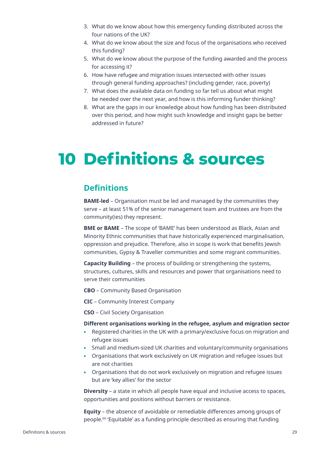- 3. What do we know about how this emergency funding distributed across the four nations of the UK?
- 4. What do we know about the size and focus of the organisations who received this funding?
- 5. What do we know about the purpose of the funding awarded and the process for accessing it?
- 6. How have refugee and migration issues intersected with other issues through general funding approaches? (including gender, race, poverty)
- 7. What does the available data on funding so far tell us about what might be needed over the next year, and how is this informing funder thinking?
- 8. What are the gaps in our knowledge about how funding has been distributed over this period, and how might such knowledge and insight gaps be better addressed in future?

# **10 Definitions & sources**

### **Definitions**

**BAME-led** – Organisation must be led and managed by the communities they serve – at least 51% of the senior management team and trustees are from the community(ies) they represent.

**BME or BAME** – The scope of 'BAME' has been understood as Black, Asian and Minority Ethnic communities that have historically experienced marginalisation, oppression and prejudice. Therefore, also in scope is work that benefts Jewish communities, Gypsy & Traveller communities and some migrant communities.

**Capacity Building** – the process of building or strengthening the systems, structures, cultures, skills and resources and power that organisations need to serve their communities

**CBO** – Community Based Organisation

**CIC** – Community Interest Company

**CSO** – Civil Society Organisation

#### **Diferent organisations working in the refugee, asylum and migration sector**

- Registered charities in the UK with a primary/exclusive focus on migration and refugee issues
- Small and medium-sized UK charities and voluntary/community organisations
- Organisations that work exclusively on UK migration and refugee issues but are not charities
- Organisations that do not work exclusively on migration and refugee issues but are 'key allies' for the sector

**Diversity** – a state in which all people have equal and inclusive access to spaces, opportunities and positions without barriers or resistance.

**Equity** – the absence of avoidable or remediable diferences among groups of people.60 'Equitable' as a funding principle described as ensuring that funding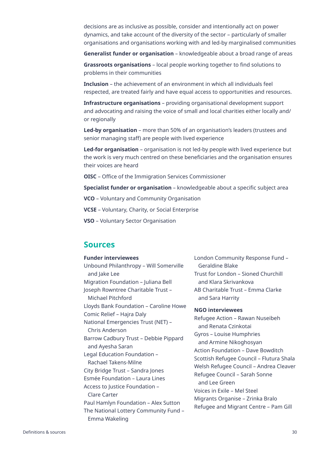decisions are as inclusive as possible, consider and intentionally act on power dynamics, and take account of the diversity of the sector – particularly of smaller organisations and organisations working with and led-by marginalised communities

**Generalist funder or organisation** – knowledgeable about a broad range of areas

**Grassroots organisations** – local people working together to fnd solutions to problems in their communities

**Inclusion** – the achievement of an environment in which all individuals feel respected, are treated fairly and have equal access to opportunities and resources.

**Infrastructure organisations** – providing organisational development support and advocating and raising the voice of small and local charities either locally and/ or regionally

**Led-by organisation** – more than 50% of an organisation's leaders (trustees and senior managing staff) are people with lived experience

**Led-for organisation** – organisation is not led-by people with lived experience but the work is very much centred on these beneficiaries and the organisation ensures their voices are heard

**OISC** – Office of the Immigration Services Commissioner

**Specialist funder or organisation** – knowledgeable about a specifc subject area

**VCO** – Voluntary and Community Organisation

**VCSE** – Voluntary, Charity, or Social Enterprise

**VSO** – Voluntary Sector Organisation

### **Sources**

#### **Funder interviewees**

Unbound Philanthropy – Will Somerville and lake Lee Migration Foundation – Juliana Bell Joseph Rowntree Charitable Trust – Michael Pitchford Lloyds Bank Foundation – Caroline Howe Comic Relief – Hajra Daly National Emergencies Trust (NET) – Chris Anderson Barrow Cadbury Trust – Debbie Pippard and Ayesha Saran Legal Education Foundation – Rachael Takens-Milne City Bridge Trust – Sandra Jones Esmée Foundation – Laura Lines Access to Justice Foundation – Clare Carter Paul Hamlyn Foundation – Alex Sutton The National Lottery Community Fund – Emma Wakeling

London Community Response Fund – Geraldine Blake Trust for London – Sioned Churchill and Klara Skrivankova AB Charitable Trust – Emma Clarke and Sara Harrity

#### **NGO interviewees**

Refugee Action – Rawan Nuseibeh and Renata Czinkotai Gyros – Louise Humphries and Armine Nikoghosyan Action Foundation – Dave Bowditch Scottish Refugee Council – Flutura Shala Welsh Refugee Council – Andrea Cleaver Refugee Council – Sarah Sonne and Lee Green Voices in Exile – Mel Steel Migrants Organise – Zrinka Bralo Refugee and Migrant Centre – Pam Gill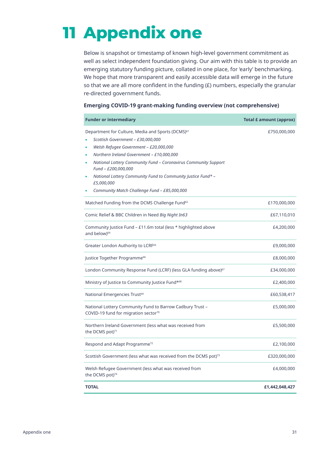# **Appendix one 11**

Below is snapshot or timestamp of known high-level government commitment as well as select independent foundation giving. Our aim with this table is to provide an emerging statutory funding picture, collated in one place, for 'early' benchmarking. We hope that more transparent and easily accessible data will emerge in the future so that we are all more confident in the funding (£) numbers, especially the granular re-directed government funds.

#### **Emerging COVID-19 grant-making funding overview (not comprehensive)**

| <b>Funder or intermediary</b>                                                                                                                                                                                                                                                                                                                                                                                                                              | <b>Total £ amount (approx)</b> |
|------------------------------------------------------------------------------------------------------------------------------------------------------------------------------------------------------------------------------------------------------------------------------------------------------------------------------------------------------------------------------------------------------------------------------------------------------------|--------------------------------|
| Department for Culture, Media and Sports (DCMS) <sup>61</sup><br>Scottish Government - £30,000,000<br>Welsh Refugee Government - £20,000,000<br>$\bullet$<br>Northern Ireland Government - £10,000,000<br>$\bullet$<br>National Lottery Community Fund - Coronavirus Community Support<br>٠<br>Fund - £200,000,000<br>National Lottery Community Fund to Community Justice Fund* -<br>٠<br>£5,000,000<br>Community Match Challenge Fund - £85,000,000<br>۰ | £750,000,000                   |
| Matched Funding from the DCMS Challenge Fund <sup>62</sup>                                                                                                                                                                                                                                                                                                                                                                                                 | £170,000,000                   |
| Comic Relief & BBC Children in Need Big Night In63                                                                                                                                                                                                                                                                                                                                                                                                         | £67,110,010                    |
| Community Justice Fund - £11.6m total (less * highlighted above<br>and below) <sup>64</sup>                                                                                                                                                                                                                                                                                                                                                                | £4,200,000                     |
| Greater London Authority to LCRF <sup>65</sup>                                                                                                                                                                                                                                                                                                                                                                                                             | £9,000,000                     |
| Justice Together Programme <sup>66</sup>                                                                                                                                                                                                                                                                                                                                                                                                                   | £8,000,000                     |
| London Community Response Fund (LCRF) (less GLA funding above) <sup>67</sup>                                                                                                                                                                                                                                                                                                                                                                               | £34,000,000                    |
| Ministry of Justice to Community Justice Fund* <sup>68</sup>                                                                                                                                                                                                                                                                                                                                                                                               | £2,400,000                     |
| National Emergencies Trust <sup>69</sup>                                                                                                                                                                                                                                                                                                                                                                                                                   | £60,538,417                    |
| National Lottery Community Fund to Barrow Cadbury Trust -<br>COVID-19 fund for migration sector <sup>70</sup>                                                                                                                                                                                                                                                                                                                                              | £5,000,000                     |
| Northern Ireland Government (less what was received from<br>the DCMS pot) <sup>71</sup>                                                                                                                                                                                                                                                                                                                                                                    | £5,500,000                     |
| Respond and Adapt Programme <sup>72</sup>                                                                                                                                                                                                                                                                                                                                                                                                                  | £2,100,000                     |
| Scottish Government (less what was received from the DCMS pot) <sup>73</sup>                                                                                                                                                                                                                                                                                                                                                                               | £320,000,000                   |
| Welsh Refugee Government (less what was received from<br>the DCMS pot)74                                                                                                                                                                                                                                                                                                                                                                                   | £4,000,000                     |
| <b>TOTAL</b>                                                                                                                                                                                                                                                                                                                                                                                                                                               | £1,442,048,427                 |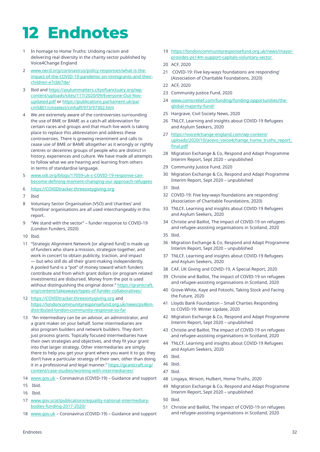# **12 Endnotes**

- 1 In homage to Home Truths: Undoing racism and delivering real diversity in the charity sector published by Voice4Change England
- 2 www.oecd.org/coronavirus/policy-responses/what-is-theimpact-of-the-COVID-19-pandemic-on-immigrants-and-theirchildren-e7cbb7de/
- 3 Ibid and https://asylummatters.cityofsanctuary.org/wpcontent/uploads/sites/117/2020/09/Everyone-Out-Novupdated.pdf or https://publications.parliament.uk/pa/ cm5801/cmselect/cmhaff/973/97302.htm
- 4 We are extremely aware of the controversies surrounding the use of BME or BAME as a catch-all abbreviation for certain races and groups and that much live work is taking place to replace this abbreviation and address these controversies. There is growing resentment and calls to cease use of BME or BAME altogether as it wrongly or rightly centres or decentres groups of people who are distinct in history, experiences and culture. We have made all attempts to follow what we are hearing and learning from others in terms of standardise language.
- 5 www.odi.org/blogs/17059-uk-s-COVID-19-response-canbecome-defning-moment-changing-our-approach-refugees
- 6 https://COVIDtracker.threesixtygiving.org
- 7 Ibid
- 8 Voluntary Sector Organisation (VSO) and 'charities' and 'frontline' organisations are all used interchangeably in this report.
- 9 "We stand with the sector" funder response to COVID-19 (London Funders, 2020)
- 10 Ibid.
- 11 "Strategic Alignment Network [or aligned fund] is made up of funders who share a mission, strategize together, and work in concert to obtain publicity, traction, and impact — but who still do all their grant-making independently. A pooled fund is a "pot" of money toward which funders contribute and from which grant dollars (or program related investments) are disbursed. Money from the pot is used without distinguishing the original donor." https://grantcraft. org/content/takeaways/types-of-funder-collaboratives/
- 12 https://COVIDtracker.threesixtygiving.org and https://londoncommunityresponsefund.org.uk/news/ps46mdistributed-london-community-response-so-far
- 13 "An intermediary can be an advisor, an administrator, and a grant maker on your behalf. Some intermediaries are also program builders and network builders. They don't just process grants. Topically focused intermediaries have their own strategies and objectives, and they fit your grant into that larger strategy. Other intermediaries are simply there to help you get your grant where you want it to go; they don't have a particular strategy of their own, other than doing it in a professional and legal manner." https://grantcraft.org/ content/case-studies/working-with-intermediaries/
- 14 www.gov.uk Coronavirus (COVID-19) Guidance and support
- 15 Ibid.
- 16 Ibid.
- 17 www.gov.scot/publications/equality-national-intermediarybodies-funding-2017-2020/
- 18 www.gov.uk Coronavirus (COVID-19) Guidance and support
- 19 https://londoncommunityresponsefund.org.uk/news/mayorprovides-ps14m-support-capitals-voluntary-sector
- 20 ACF, 2020
- 21 COVID-19: Five key-ways foundations are responding' (Association of Charitable Foundations, 2020)
- 22 ACF, 2020
- 23 Community Justice Fund, 2020
- 24 www.comicrelief.com/funding/funding-opportunities/theglobal-majority-fund/
- 25 Hargrave, Civil Society News, 2020
- 26 TNLCF, Learning and insights about COVID-19 Refugees and Asylum Seekers, 2020
- 27 https://voice4change-england.com/wp-content/ uploads/2020/10/acevo\_voice4change\_home\_truths\_report final.pdf
- 28 Migration Exchange & Co, Respond and Adapt Programme Interim Report, Sept 2020 – unpublished
- 29 Community Justice Fund, 2020
- 30 Migration Exchange & Co, Respond and Adapt Programme Interim Report, Sept 2020 – unpublished
- 31 Ibid.
- 32 COVID-19: Five key-ways foundations are responding' (Association of Charitable Foundations, 2020)
- 33 TNLCF, Learning and insights about COVID-19 Refugees and Asylum Seekers, 2020
- 34 Christie and Baillot, The impact of COVID-19 on refugees and refugee-assisting organisations in Scotland, 2020
- 35 Ibid.
- 36 Migration Exchange & Co, Respond and Adapt Programme Interim Report, Sept 2020 – unpublished
- 37 TNLCF, Learning and insights about COVID-19 Refugees and Asylum Seekers, 2020
- 38 CAF, UK Giving and COVID-19, A Special Report, 2020
- 39 Christie and Baillot, The impact of COVID-19 on refugees and refugee-assisting organisations in Scotland, 2020
- 40 Grove-White, Kaye and Fotoohi, Taking Stock and Facing the Future, 2020
- 41 Lloyds Bank Foundation Small Charties Responding to COVID-19: Winter Update, 2020
- 42 Migration Exchange & Co, Respond and Adapt Programme Interim Report, Sept 2020 – unpublished
- 43 Christie and Baillot, The impact of COVID-19 on refugees and refugee-assisting organisations in Scotland, 2020
- 44 TNLCF, Learning and insights about COVID-19 Refugees and Asylum Seekers, 2020
- 45 Ibid.
- 46 Ibid.
- 47 Ibid.
- 48 Lingaya, Wrixon, Hulbert, Home Truths, 2020
- 49 Migration Exchange & Co, Respond and Adapt Programme Interim Report, Sept 2020 – unpublished
- 50 Ibid.
- 51 Christie and Baillot, The impact of COVID-19 on refugees and refugee-assisting organisations in Scotland, 2020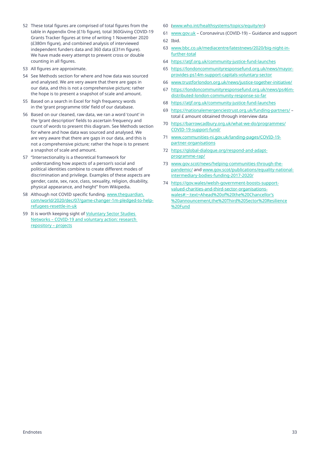- 52 These total figures are comprised of total figures from the table in Appendix One (£1b figure), total 360Giving COVID-19 Grants Tracker figures at time of writing 1 November 2020 (£380m figure), and combined analysis of interviewed independent funders data and 360 data (£31m figure). We have made every attempt to prevent cross or double counting in all figures.
- 53 All figures are approximate.
- 54 See Methods section for where and how data was sourced and analysed. We are very aware that there are gaps in our data, and this is not a comprehensive picture; rather the hope is to present a snapshot of scale and amount.
- 55 Based on a search in Excel for high frequency words in the 'grant programme title' field of our database.
- 56 Based on our cleaned, raw data, we ran a word 'count' in the 'grant description' fields to ascertain frequency and count of words to present this diagram. See Methods section for where and how data was sourced and analysed. We are very aware that there are gaps in our data, and this is not a comprehensive picture; rather the hope is to present a snapshot of scale and amount.
- 57 "Intersectionality is a theoretical framework for understanding how aspects of a person's social and political identities combine to create diferent modes of discrimination and privilege. Examples of these aspects are gender, caste, sex, race, class, sexuality, religion, disability, physical appearance, and height" from Wikipedia.
- 58 Although not COVID specific funding. www.theguardian. com/world/2020/dec/07/game-changer-1m-pledged-to-helprefugees-resettle-in-uk
- 59 It is worth keeping sight of Voluntary Sector Studies Networks – COVID-19 and voluntary action: research repository – projects
- 60 (www.who.int/healthsystems/topics/equity/en)
- 61 www.gov.uk Coronavirus (COVID-19) Guidance and support
- 62 Ibid.
- 63 www.bbc.co.uk/mediacentre/latestnews/2020/big-night-infurther-total
- 64 https://atjf.org.uk/community-justice-fund-launches
- 65 https://londoncommunityresponsefund.org.uk/news/mayorprovides-ps14m-support-capitals-voluntary-sector
- 66 www.trustforlondon.org.uk/news/justice-together-initiative/
- 67 https://londoncommunityresponsefund.org.uk/news/ps46mdistributed-london-community-response-so-far
- 68 https://atjf.org.uk/community-justice-fund-launches
- 69 https://nationalemergenciestrust.org.uk/funding-partners/ total £ amount obtained through interview data
- 70 https://barrowcadbury.org.uk/what-we-do/programmes/ COVID-19-support-fund/
- 71 www.communities-ni.gov.uk/landing-pages/COVID-19 partner-organisations
- 72 https://global-dialogue.org/respond-and-adaptprogramme-rap/
- 73 www.gov.scot/news/helping-communities-through-thepandemic/ and www.gov.scot/publications/equality-nationalintermediary-bodies-funding-2017-2020/
- 74 https://gov.wales/welsh-government-boosts-supportvalued-charities-and-third-sector-organisationswales#:~:text=Ahead%20of%20the%20Chancellor's %20announcement,the%20Third%20Sector%20Resilience %20Fund